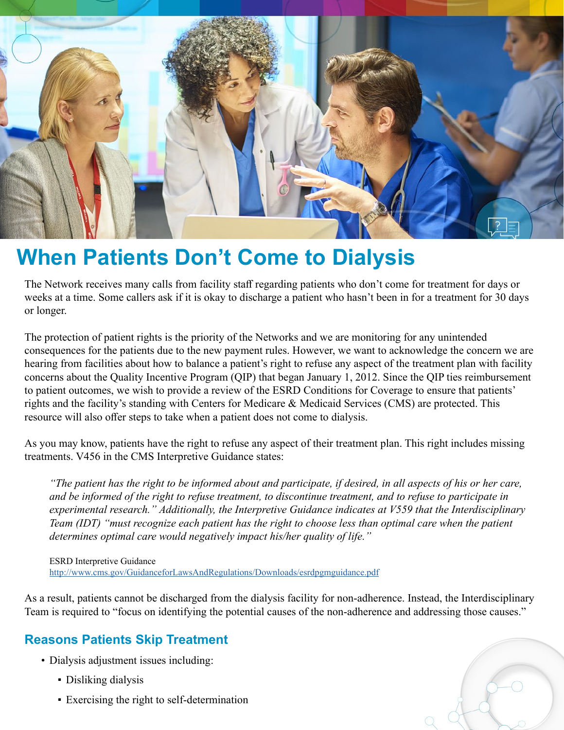

# **When Patients Don't Come to Dialysis**

The Network receives many calls from facility staff regarding patients who don't come for treatment for days or weeks at a time. Some callers ask if it is okay to discharge a patient who hasn't been in for a treatment for 30 days or longer.

The protection of patient rights is the priority of the Networks and we are monitoring for any unintended consequences for the patients due to the new payment rules. However, we want to acknowledge the concern we are hearing from facilities about how to balance a patient's right to refuse any aspect of the treatment plan with facility concerns about the Quality Incentive Program (QIP) that began January 1, 2012. Since the QIP ties reimbursement to patient outcomes, we wish to provide a review of the ESRD Conditions for Coverage to ensure that patients' rights and the facility's standing with Centers for Medicare & Medicaid Services (CMS) are protected. This resource will also offer steps to take when a patient does not come to dialysis.

As you may know, patients have the right to refuse any aspect of their treatment plan. This right includes missing treatments. V456 in the CMS Interpretive Guidance states:

*"The patient has the right to be informed about and participate, if desired, in all aspects of his or her care, and be informed of the right to refuse treatment, to discontinue treatment, and to refuse to participate in experimental research." Additionally, the Interpretive Guidance indicates at V559 that the Interdisciplinary Team (IDT) "must recognize each patient has the right to choose less than optimal care when the patient determines optimal care would negatively impact his/her quality of life."*

ESRD Interpretive Guidance <http://www.cms.gov/GuidanceforLawsAndRegulations/Downloads/esrdpgmguidance.pdf>

As a result, patients cannot be discharged from the dialysis facility for non-adherence. Instead, the Interdisciplinary Team is required to "focus on identifying the potential causes of the non-adherence and addressing those causes."

# **Reasons Patients Skip Treatment**

- Dialysis adjustment issues including:
	- Disliking dialysis
	- Exercising the right to self-determination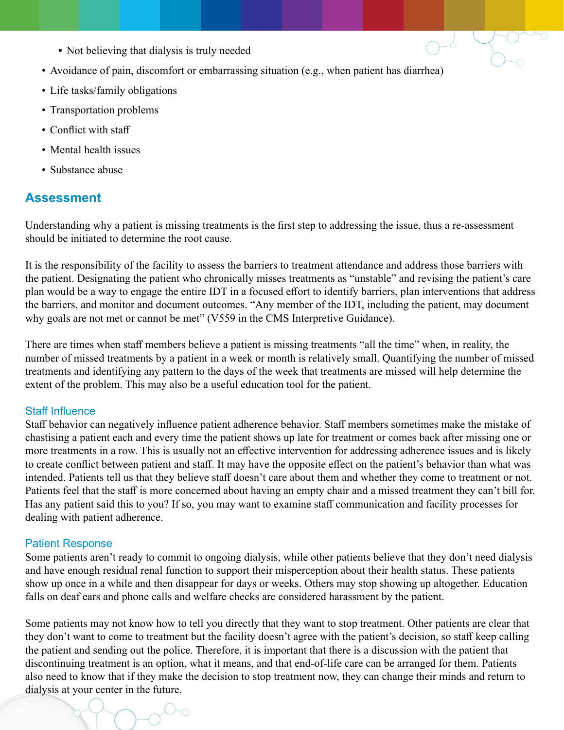- Not believing that dialysis is truly needed
- Avoidance of pain, discomfort or embarrassing situation (e.g., when patient has diarrhea)
- Life tasks/family obligations
- Transportation problems
- Conflict with staff
- Mental health issues
- Substance abuse

## **Assessment**

Understanding why a patient is missing treatments is the first step to addressing the issue, thus a re-assessment should be initiated to determine the root cause.

It is the responsibility of the facility to assess the barriers to treatment attendance and address those barriers with the patient. Designating the patient who chronically misses treatments as "unstable" and revising the patient's care plan would be a way to engage the entire IDT in a focused effort to identify barriers, plan interventions that address the barriers, and monitor and document outcomes. "Any member of the IDT, including the patient, may document why goals are not met or cannot be met" (V559 in the CMS Interpretive Guidance).

There are times when staff members believe a patient is missing treatments "all the time" when, in reality, the number of missed treatments by a patient in a week or month is relatively small. Quantifying the number of missed treatments and identifying any pattern to the days of the week that treatments are missed will help determine the extent of the problem. This may also be a useful education tool for the patient.

#### Staff Influence

Staff behavior can negatively influence patient adherence behavior. Staff members sometimes make the mistake of chastising a patient each and every time the patient shows up late for treatment or comes back after missing one or more treatments in a row. This is usually not an effective intervention for addressing adherence issues and is likely to create conflict between patient and staff. It may have the opposite effect on the patient's behavior than what was intended. Patients tell us that they believe staff doesn't care about them and whether they come to treatment or not. Patients feel that the staff is more concerned about having an empty chair and a missed treatment they can't bill for. Has any patient said this to you? If so, you may want to examine staff communication and facility processes for dealing with patient adherence.

#### Patient Response

Some patients aren't ready to commit to ongoing dialysis, while other patients believe that they don't need dialysis and have enough residual renal function to support their misperception about their health status. These patients show up once in a while and then disappear for days or weeks. Others may stop showing up altogether. Education falls on deaf ears and phone calls and welfare checks are considered harassment by the patient.

Some patients may not know how to tell you directly that they want to stop treatment. Other patients are clear that they don't want to come to treatment but the facility doesn't agree with the patient's decision, so staff keep calling the patient and sending out the police. Therefore, it is important that there is a discussion with the patient that discontinuing treatment is an option, what it means, and that end-of-life care can be arranged for them. Patients also need to know that if they make the decision to stop treatment now, they can change their minds and return to dialysis at your center in the future.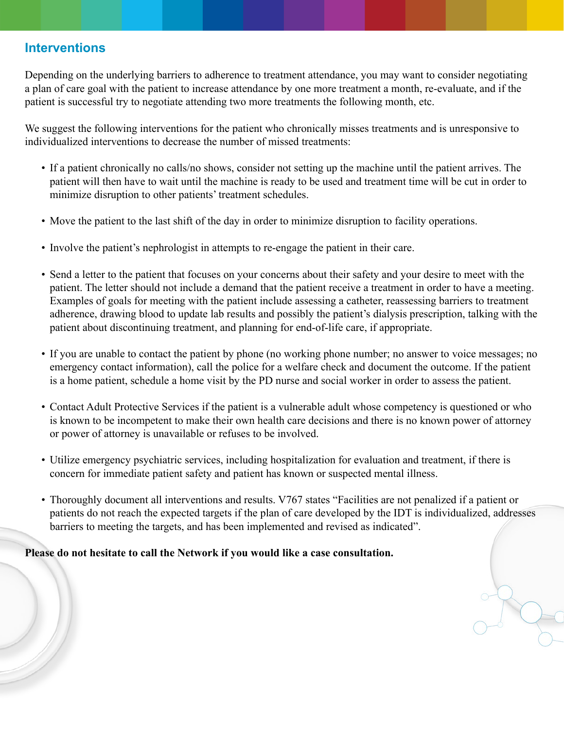## **Interventions**

Depending on the underlying barriers to adherence to treatment attendance, you may want to consider negotiating a plan of care goal with the patient to increase attendance by one more treatment a month, re-evaluate, and if the patient is successful try to negotiate attending two more treatments the following month, etc.

We suggest the following interventions for the patient who chronically misses treatments and is unresponsive to individualized interventions to decrease the number of missed treatments:

- If a patient chronically no calls/no shows, consider not setting up the machine until the patient arrives. The patient will then have to wait until the machine is ready to be used and treatment time will be cut in order to minimize disruption to other patients' treatment schedules.
- Move the patient to the last shift of the day in order to minimize disruption to facility operations.
- Involve the patient's nephrologist in attempts to re-engage the patient in their care.
- Send a letter to the patient that focuses on your concerns about their safety and your desire to meet with the patient. The letter should not include a demand that the patient receive a treatment in order to have a meeting. Examples of goals for meeting with the patient include assessing a catheter, reassessing barriers to treatment adherence, drawing blood to update lab results and possibly the patient's dialysis prescription, talking with the patient about discontinuing treatment, and planning for end-of-life care, if appropriate.
- If you are unable to contact the patient by phone (no working phone number; no answer to voice messages; no emergency contact information), call the police for a welfare check and document the outcome. If the patient is a home patient, schedule a home visit by the PD nurse and social worker in order to assess the patient.
- Contact Adult Protective Services if the patient is a vulnerable adult whose competency is questioned or who is known to be incompetent to make their own health care decisions and there is no known power of attorney or power of attorney is unavailable or refuses to be involved.
- Utilize emergency psychiatric services, including hospitalization for evaluation and treatment, if there is concern for immediate patient safety and patient has known or suspected mental illness.
- Thoroughly document all interventions and results. V767 states "Facilities are not penalized if a patient or patients do not reach the expected targets if the plan of care developed by the IDT is individualized, addresses barriers to meeting the targets, and has been implemented and revised as indicated".

**Please do not hesitate to call the Network if you would like a case consultation.**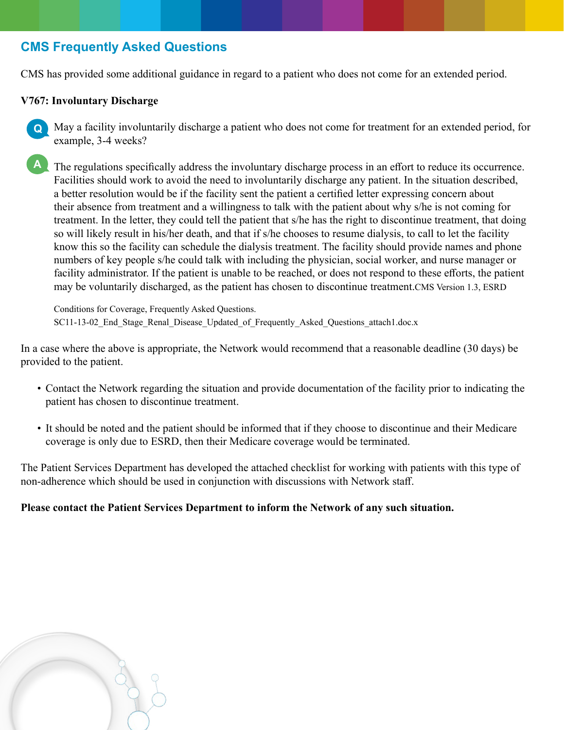# **CMS Frequently Asked Questions**

CMS has provided some additional guidance in regard to a patient who does not come for an extended period.

## **V767: Involuntary Discharge**

**Q** May a facility involuntarily discharge a patient who does not come for treatment for an extended period, for example, 3-4 weeks?

**A** The regulations specifically address the involuntary discharge process in an effort to reduce its occurrence. Facilities should work to avoid the need to involuntarily discharge any patient. In the situation described, a better resolution would be if the facility sent the patient a certified letter expressing concern about their absence from treatment and a willingness to talk with the patient about why s/he is not coming for treatment. In the letter, they could tell the patient that s/he has the right to discontinue treatment, that doing so will likely result in his/her death, and that if s/he chooses to resume dialysis, to call to let the facility know this so the facility can schedule the dialysis treatment. The facility should provide names and phone numbers of key people s/he could talk with including the physician, social worker, and nurse manager or facility administrator. If the patient is unable to be reached, or does not respond to these efforts, the patient may be voluntarily discharged, as the patient has chosen to discontinue treatment.CMS Version 1.3, ESRD

Conditions for Coverage, Frequently Asked Questions. SC11-13-02 End Stage Renal Disease Updated of Frequently Asked Questions attach1.doc.x

In a case where the above is appropriate, the Network would recommend that a reasonable deadline (30 days) be provided to the patient.

- Contact the Network regarding the situation and provide documentation of the facility prior to indicating the patient has chosen to discontinue treatment.
- It should be noted and the patient should be informed that if they choose to discontinue and their Medicare coverage is only due to ESRD, then their Medicare coverage would be terminated.

The Patient Services Department has developed the attached checklist for working with patients with this type of non-adherence which should be used in conjunction with discussions with Network staff.

## **Please contact the Patient Services Department to inform the Network of any such situation.**